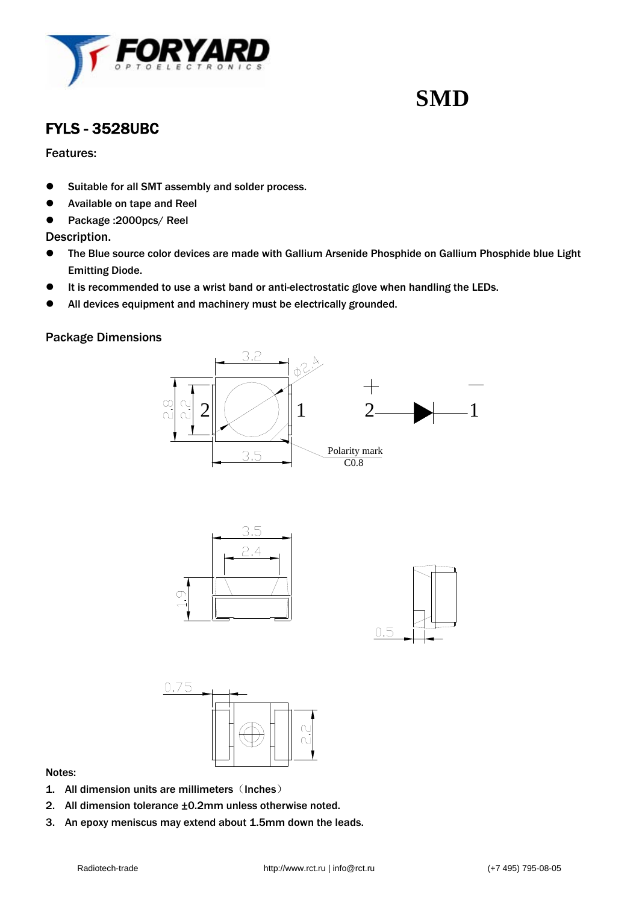

### FYLS - 3528UBC

#### Features:

- Suitable for all SMT assembly and solder process.
- **•** Available on tape and Reel
- Package :2000pcs/ Reel

#### Description.

- The Blue source color devices are made with Gallium Arsenide Phosphide on Gallium Phosphide blue Light Emitting Diode.
- $\bullet$  It is recommended to use a wrist band or anti-electrostatic glove when handling the LEDs.
- All devices equipment and machinery must be electrically grounded.

#### Package Dimensions







#### Notes:

- 1. All dimension units are millimeters (Inches)
- 2. All dimension tolerance ±0.2mm unless otherwise noted.
- 3. An epoxy meniscus may extend about 1.5mm down the leads.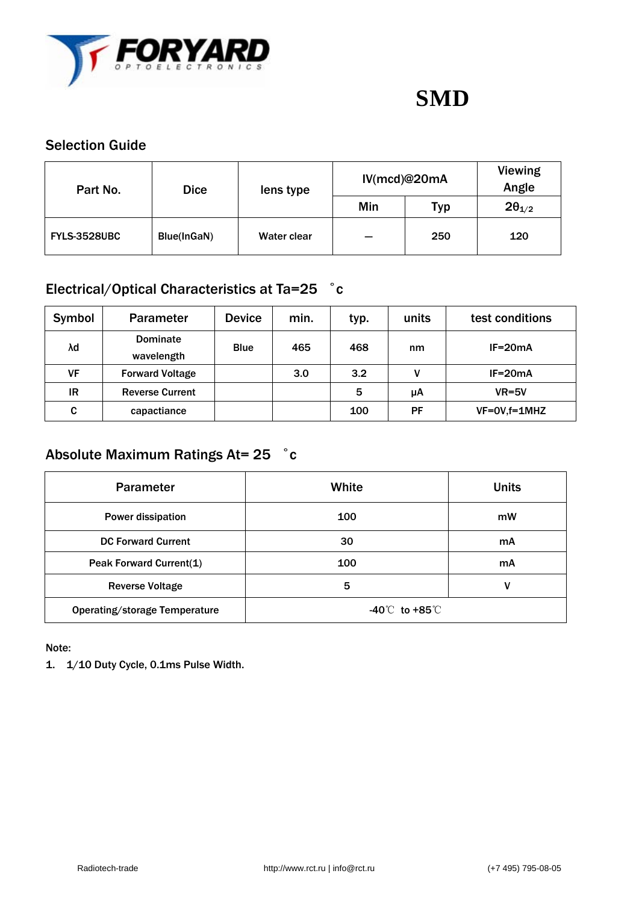

### Selection Guide

| Part No.            | <b>Dice</b> | lens type   | IV(mcd)@20mA |            | Viewing<br>Angle |
|---------------------|-------------|-------------|--------------|------------|------------------|
|                     |             |             | Min          | <b>Typ</b> | $2\theta_{1/2}$  |
| <b>FYLS-3528UBC</b> | Blue(InGaN) | Water clear | --           | 250        | 120              |

### Electrical/Optical Characteristics at Ta=25 ゜с

| Symbol | <b>Parameter</b>              | <b>Device</b> | min. | typ. | units | test conditions |
|--------|-------------------------------|---------------|------|------|-------|-----------------|
| λd     | <b>Dominate</b><br>wavelength | <b>Blue</b>   | 465  | 468  | nm    | $IF=20mA$       |
| VF     | <b>Forward Voltage</b>        |               | 3.0  | 3.2  | v     | $IF=20mA$       |
| IR     | <b>Reverse Current</b>        |               |      | 5    | μA    | $VR=5V$         |
| C      | capactiance                   |               |      | 100  | PF    | $VF=OV,f=1MHz$  |

## Absolute Maximum Ratings At= 25 °c

| <b>Parameter</b>              | White                          | <b>Units</b> |  |
|-------------------------------|--------------------------------|--------------|--|
| Power dissipation             | 100                            | mW           |  |
| <b>DC Forward Current</b>     | 30                             | mA           |  |
| Peak Forward Current(1)       | 100                            | mA           |  |
| <b>Reverse Voltage</b>        | 5                              | ٧            |  |
| Operating/storage Temperature | $-40^{\circ}$ to $+85^{\circ}$ |              |  |

Note:

1. 1/10 Duty Cycle, 0.1ms Pulse Width.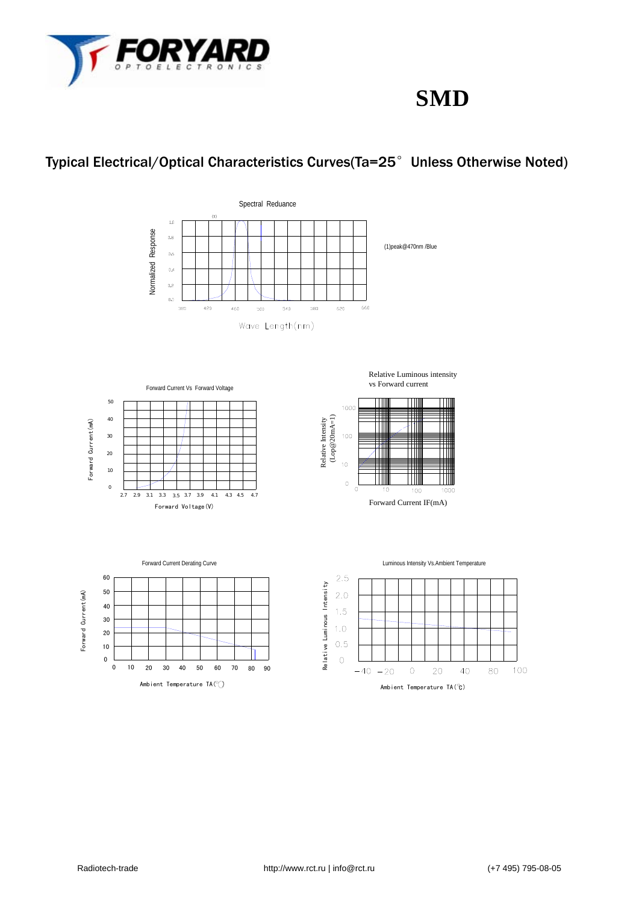

## Typical Electrical/Optical Characteristics Curves(Ta=25°Unless Otherwise Noted)













Luminous Intensity Vs.Ambient Temperature

Ш

T

1000

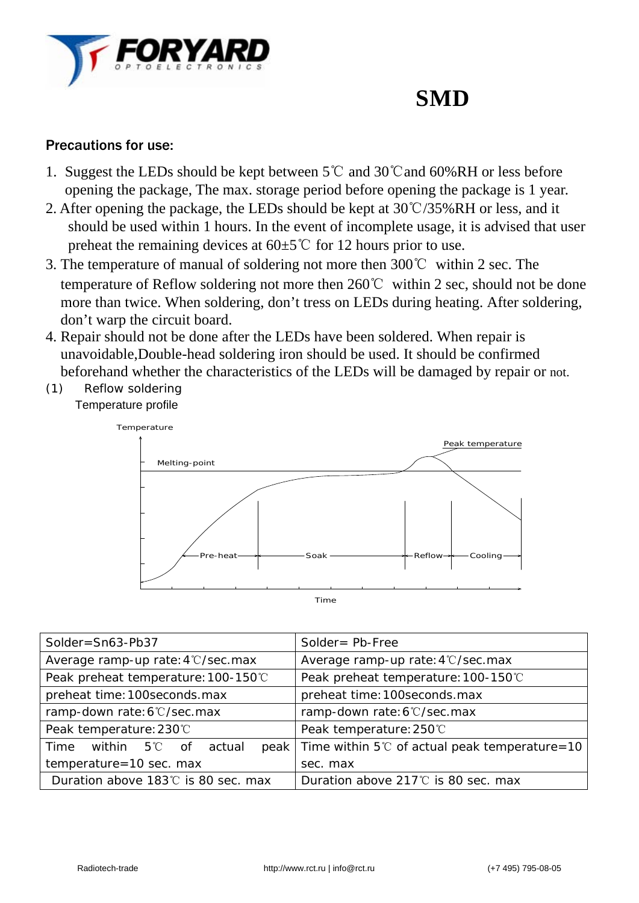

### Precautions for use:

- 1. Suggest the LEDs should be kept between 5℃ and 30℃and 60%RH or less before opening the package, The max. storage period before opening the package is 1 year.
- 2. After opening the package, the LEDs should be kept at 30℃/35%RH or less, and it should be used within 1 hours. In the event of incomplete usage, it is advised that user preheat the remaining devices at  $60±5^{\circ}C$  for 12 hours prior to use.
- 3. The temperature of manual of soldering not more then 300℃ within 2 sec. The temperature of Reflow soldering not more then 260℃ within 2 sec, should not be done more than twice. When soldering, don't tress on LEDs during heating. After soldering, don't warp the circuit board.
- 4. Repair should not be done after the LEDs have been soldered. When repair is unavoidable,Double-head soldering iron should be used. It should be confirmed beforehand whether the characteristics of the LEDs will be damaged by repair or not.
- (1) Reflow soldering Temperature profile



| Solder=Sn63-Pb37                                     | Solder = $Pb$ -Free                                          |  |  |
|------------------------------------------------------|--------------------------------------------------------------|--|--|
| Average ramp-up rate: 4°C/sec.max                    | Average ramp-up rate: 4°C/sec.max                            |  |  |
| Peak preheat temperature: 100-150°C                  | Peak preheat temperature: 100-150℃                           |  |  |
| preheat time: 100 seconds. max                       | preheat time: 100seconds.max                                 |  |  |
| ramp-down rate: 6°C/sec.max                          | ramp-down rate: 6°C/sec.max                                  |  |  |
| Peak temperature: 230°C                              | Peak temperature: 250°C                                      |  |  |
| Time<br>within $5^{\circ}\mathrm{C}$<br>actual<br>of | peak   Time within $5^{\circ}$ of actual peak temperature=10 |  |  |
| temperature=10 sec. max                              | sec. max                                                     |  |  |
| Duration above 183℃ is 80 sec. max                   | Duration above $217^{\circ}$ is 80 sec. max                  |  |  |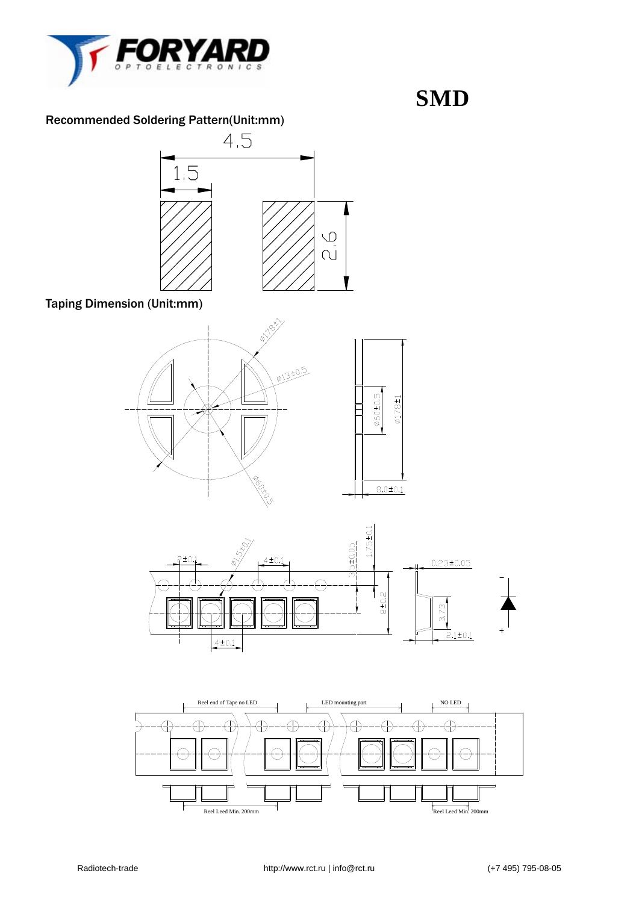

### Recommended Soldering Pattern(Unit:mm)



Taping Dimension (Unit:mm)